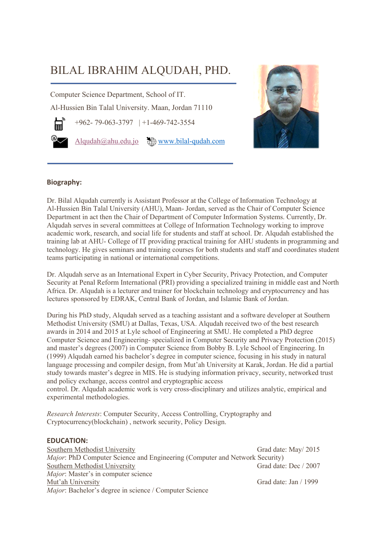# BILAL IBRAHIM ALQUDAH, PHD.

Computer Science Department, School of IT.

Al-Hussien Bin Talal University. Maan, Jordan 71110

+962- 79-063-3797 | +1-469-742-3554

Alqudah@ahu.edu.jo  $\bigoplus$  www.bilal-qudah.com



# **Biography:**

Dr. Bilal Alqudah currently is Assistant Professor at the College of Information Technology at Al-Hussien Bin Talal University (AHU), Maan- Jordan, served as the Chair of Computer Science Department in act then the Chair of Department of Computer Information Systems. Currently, Dr. Alqudah serves in several committees at College of Information Technology working to improve academic work, research, and social life for students and staff at school. Dr. Alqudah established the training lab at AHU- College of IT providing practical training for AHU students in programming and technology. He gives seminars and training courses for both students and staff and coordinates student teams participating in national or international competitions.

Dr. Alqudah serve as an International Expert in Cyber Security, Privacy Protection, and Computer Security at Penal Reform International (PRI) providing a specialized training in middle east and North Africa. Dr. Alqudah is a lecturer and trainer for blockchain technology and cryptocurrency and has lectures sponsored by EDRAK, Central Bank of Jordan, and Islamic Bank of Jordan.

During his PhD study, Alqudah served as a teaching assistant and a software developer at Southern Methodist University (SMU) at Dallas, Texas, USA. Alqudah received two of the best research awards in 2014 and 2015 at Lyle school of Engineering at SMU. He completed a PhD degree Computer Science and Engineering- specialized in Computer Security and Privacy Protection (2015) and master's degrees (2007) in Computer Science from Bobby B. Lyle School of Engineering. In (1999) Alqudah earned his bachelor's degree in computer science, focusing in his study in natural language processing and compiler design, from Mut'ah University at Karak, Jordan. He did a partial study towards master's degree in MIS. He is studying information privacy, security, networked trust and policy exchange, access control and cryptographic access

control. Dr. Alqudah academic work is very cross-disciplinary and utilizes analytic, empirical and experimental methodologies.

*Research Interests*: Computer Security, Access Controlling, Cryptography and Cryptocurrency(blockchain) , network security, Policy Design.

### **EDUCATION:**

Southern Methodist University Grad date: May 2015 *Major*: PhD Computer Science and Engineering (Computer and Network Security) Southern Methodist University Grad date: Dec / 2007 *Major*: Master's in computer science Mut'ah University Grad date: Jan / 1999 *Major*: Bachelor's degree in science / Computer Science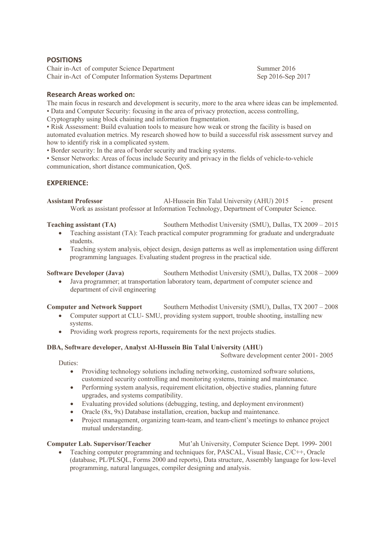### **POSITIONS**

Chair in-Act of computer Science Department Summer 2016 Chair in-Act of Computer Information Systems Department Sep 2016-Sep 2017

# **Research Areas worked on:**

The main focus in research and development is security, more to the area where ideas can be implemented. • Data and Computer Security: focusing in the area of privacy protection, access controlling, Cryptography using block chaining and information fragmentation.

• Risk Assessment: Build evaluation tools to measure how weak or strong the facility is based on automated evaluation metrics. My research showed how to build a successful risk assessment survey and how to identify risk in a complicated system.

• Border security: In the area of border security and tracking systems.

• Sensor Networks: Areas of focus include Security and privacy in the fields of vehicle-to-vehicle communication, short distance communication, QoS.

# **EXPERIENCE:**

**Assistant Professor** Al-Hussein Bin Talal University (AHU) 2015 - present Work as assistant professor at Information Technology, Department of Computer Science.

#### **Teaching assistant (TA)** Southern Methodist University (SMU), Dallas, TX 2009 – 2015

- Teaching assistant (TA): Teach practical computer programming for graduate and undergraduate students.
- Teaching system analysis, object design, design patterns as well as implementation using different programming languages. Evaluating student progress in the practical side.

**Software Developer (Java)** Southern Methodist University (SMU), Dallas, TX 2008 – 2009

• Java programmer; at transportation laboratory team, department of computer science and department of civil engineering

### **Computer and Network Support** Southern Methodist University (SMU), Dallas, TX 2007 – 2008

- Computer support at CLU- SMU, providing system support, trouble shooting, installing new systems.
- Providing work progress reports, requirements for the next projects studies.

### **DBA, Software developer, Analyst Al-Hussein Bin Talal University (AHU)**

Software development center 2001- 2005

#### Duties:

- Providing technology solutions including networking, customized software solutions, customized security controlling and monitoring systems, training and maintenance.
- Performing system analysis, requirement elicitation, objective studies, planning future upgrades, and systems compatibility.
- Evaluating provided solutions (debugging, testing, and deployment environment)
- Oracle (8x, 9x) Database installation, creation, backup and maintenance.
- Project management, organizing team-team, and team-client's meetings to enhance project mutual understanding.

### **Computer Lab. Supervisor/Teacher Mut'ah University, Computer Science Dept. 1999-2001**

• Teaching computer programming and techniques for, PASCAL, Visual Basic, C/C++, Oracle (database, PL/PLSQL, Forms 2000 and reports), Data structure, Assembly language for low-level programming, natural languages, compiler designing and analysis.